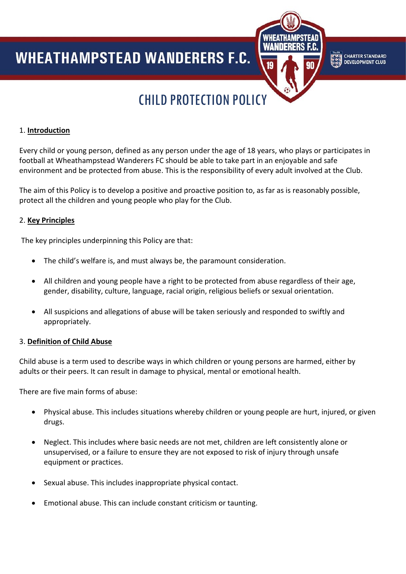# **WHEATHAMPSTEAD WANDERERS F.C.**  $\overline{ }$

**CHARTER STANDARD**<br>DEVELOPMENT CLUB

# CHILD PROTECTION POLICY

#### 1. **Introduction**

Every child or young person, defined as any person under the age of 18 years, who plays or participates in football at Wheathampstead Wanderers FC should be able to take part in an enjoyable and safe environment and be protected from abuse. This is the responsibility of every adult involved at the Club.

The aim of this Policy is to develop a positive and proactive position to, as far as is reasonably possible, protect all the children and young people who play for the Club.

#### 2. **Key Principles**

The key principles underpinning this Policy are that:

- The child's welfare is, and must always be, the paramount consideration.
- All children and young people have a right to be protected from abuse regardless of their age, gender, disability, culture, language, racial origin, religious beliefs or sexual orientation.
- All suspicions and allegations of abuse will be taken seriously and responded to swiftly and appropriately.

#### 3. **Definition of Child Abuse**

Child abuse is a term used to describe ways in which children or young persons are harmed, either by adults or their peers. It can result in damage to physical, mental or emotional health.

There are five main forms of abuse:

- Physical abuse. This includes situations whereby children or young people are hurt, injured, or given drugs.
- Neglect. This includes where basic needs are not met, children are left consistently alone or unsupervised, or a failure to ensure they are not exposed to risk of injury through unsafe equipment or practices.
- Sexual abuse. This includes inappropriate physical contact.
- Emotional abuse. This can include constant criticism or taunting.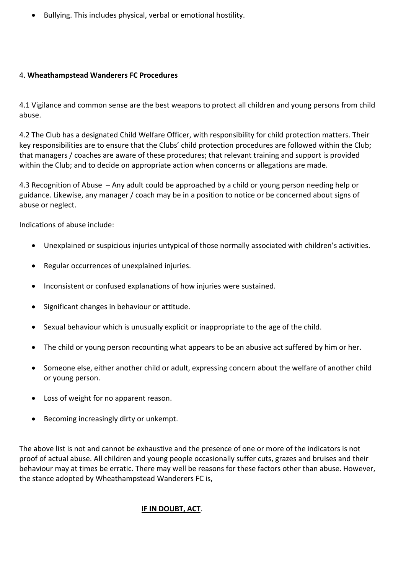• Bullying. This includes physical, verbal or emotional hostility.

### 4. **Wheathampstead Wanderers FC Procedures**

4.1 Vigilance and common sense are the best weapons to protect all children and young persons from child abuse.

4.2 The Club has a designated Child Welfare Officer, with responsibility for child protection matters. Their key responsibilities are to ensure that the Clubs' child protection procedures are followed within the Club; that managers / coaches are aware of these procedures; that relevant training and support is provided within the Club; and to decide on appropriate action when concerns or allegations are made.

4.3 Recognition of Abuse – Any adult could be approached by a child or young person needing help or guidance. Likewise, any manager / coach may be in a position to notice or be concerned about signs of abuse or neglect.

Indications of abuse include:

- Unexplained or suspicious injuries untypical of those normally associated with children's activities.
- Regular occurrences of unexplained injuries.
- Inconsistent or confused explanations of how injuries were sustained.
- Significant changes in behaviour or attitude.
- Sexual behaviour which is unusually explicit or inappropriate to the age of the child.
- The child or young person recounting what appears to be an abusive act suffered by him or her.
- Someone else, either another child or adult, expressing concern about the welfare of another child or young person.
- Loss of weight for no apparent reason.
- Becoming increasingly dirty or unkempt.

The above list is not and cannot be exhaustive and the presence of one or more of the indicators is not proof of actual abuse. All children and young people occasionally suffer cuts, grazes and bruises and their behaviour may at times be erratic. There may well be reasons for these factors other than abuse. However, the stance adopted by Wheathampstead Wanderers FC is,

# **IF IN DOUBT, ACT**.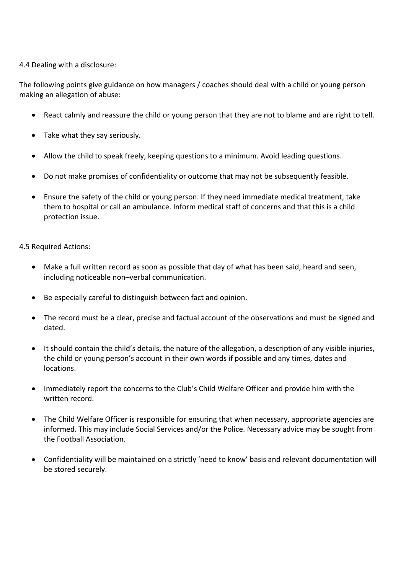#### 4.4 Dealing with a disclosure:

The following points give guidance on how managers / coaches should deal with a child or young person making an allegation of abuse:

- React calmly and reassure the child or young person that they are not to blame and are right to tell.
- Take what they say seriously.
- Allow the child to speak freely, keeping questions to a minimum. Avoid leading questions.
- Do not make promises of confidentiality or outcome that may not be subsequently feasible.
- Ensure the safety of the child or young person. If they need immediate medical treatment, take them to hospital or call an ambulance. Inform medical staff of concerns and that this is a child protection issue.

4.5 Required Actions:

- Make a full written record as soon as possible that day of what has been said, heard and seen, including noticeable non–verbal communication.
- Be especially careful to distinguish between fact and opinion.
- The record must be a clear, precise and factual account of the observations and must be signed and dated.
- It should contain the child's details, the nature of the allegation, a description of any visible injuries, the child or young person's account in their own words if possible and any times, dates and locations.
- Immediately report the concerns to the Club's Child Welfare Officer and provide him with the written record.
- The Child Welfare Officer is responsible for ensuring that when necessary, appropriate agencies are informed. This may include Social Services and/or the Police. Necessary advice may be sought from the Football Association.
- Confidentiality will be maintained on a strictly 'need to know' basis and relevant documentation will be stored securely.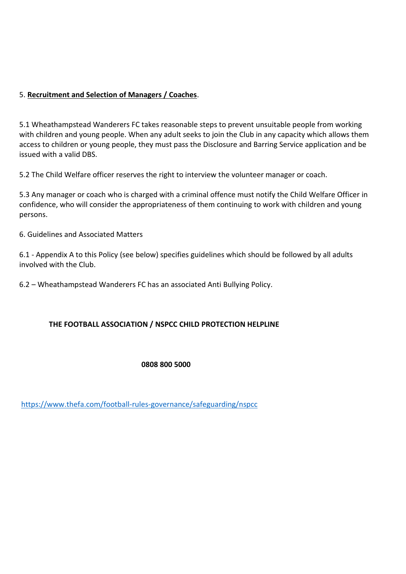## 5. **Recruitment and Selection of Managers / Coaches**.

5.1 Wheathampstead Wanderers FC takes reasonable steps to prevent unsuitable people from working with children and young people. When any adult seeks to join the Club in any capacity which allows them access to children or young people, they must pass the Disclosure and Barring Service application and be issued with a valid DBS.

5.2 The Child Welfare officer reserves the right to interview the volunteer manager or coach.

5.3 Any manager or coach who is charged with a criminal offence must notify the Child Welfare Officer in confidence, who will consider the appropriateness of them continuing to work with children and young persons.

6. Guidelines and Associated Matters

6.1 - Appendix A to this Policy (see below) specifies guidelines which should be followed by all adults involved with the Club.

6.2 – Wheathampstead Wanderers FC has an associated Anti Bullying Policy.

#### **THE FOOTBALL ASSOCIATION / NSPCC CHILD PROTECTION HELPLINE**

#### **0808 800 5000**

<https://www.thefa.com/football-rules-governance/safeguarding/nspcc>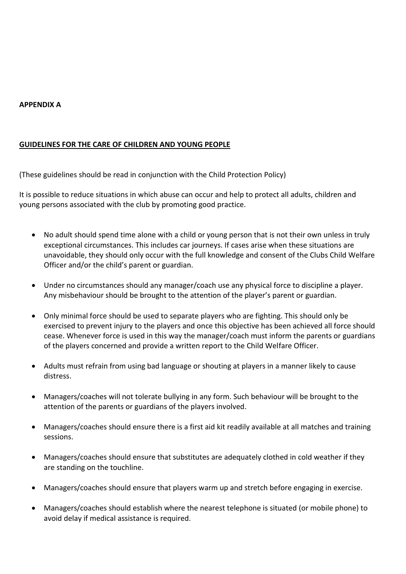#### **APPENDIX A**

#### **GUIDELINES FOR THE CARE OF CHILDREN AND YOUNG PEOPLE**

(These guidelines should be read in conjunction with the Child Protection Policy)

It is possible to reduce situations in which abuse can occur and help to protect all adults, children and young persons associated with the club by promoting good practice.

- No adult should spend time alone with a child or young person that is not their own unless in truly exceptional circumstances. This includes car journeys. If cases arise when these situations are unavoidable, they should only occur with the full knowledge and consent of the Clubs Child Welfare Officer and/or the child's parent or guardian.
- Under no circumstances should any manager/coach use any physical force to discipline a player. Any misbehaviour should be brought to the attention of the player's parent or guardian.
- Only minimal force should be used to separate players who are fighting. This should only be exercised to prevent injury to the players and once this objective has been achieved all force should cease. Whenever force is used in this way the manager/coach must inform the parents or guardians of the players concerned and provide a written report to the Child Welfare Officer.
- Adults must refrain from using bad language or shouting at players in a manner likely to cause distress.
- Managers/coaches will not tolerate bullying in any form. Such behaviour will be brought to the attention of the parents or guardians of the players involved.
- Managers/coaches should ensure there is a first aid kit readily available at all matches and training sessions.
- Managers/coaches should ensure that substitutes are adequately clothed in cold weather if they are standing on the touchline.
- Managers/coaches should ensure that players warm up and stretch before engaging in exercise.
- Managers/coaches should establish where the nearest telephone is situated (or mobile phone) to avoid delay if medical assistance is required.